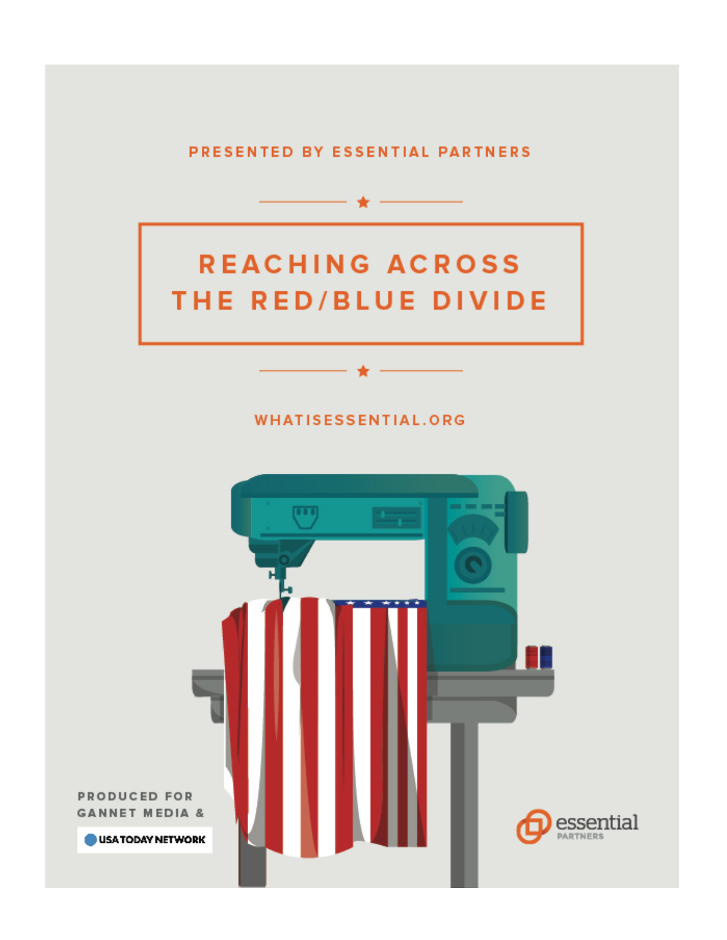PRESENTED BY ESSENTIAL PARTNERS

- ★ -

### **REACHING ACROSS** THE RED/BLUE DIVIDE

#### **WHATISESSENTIAL.ORG**

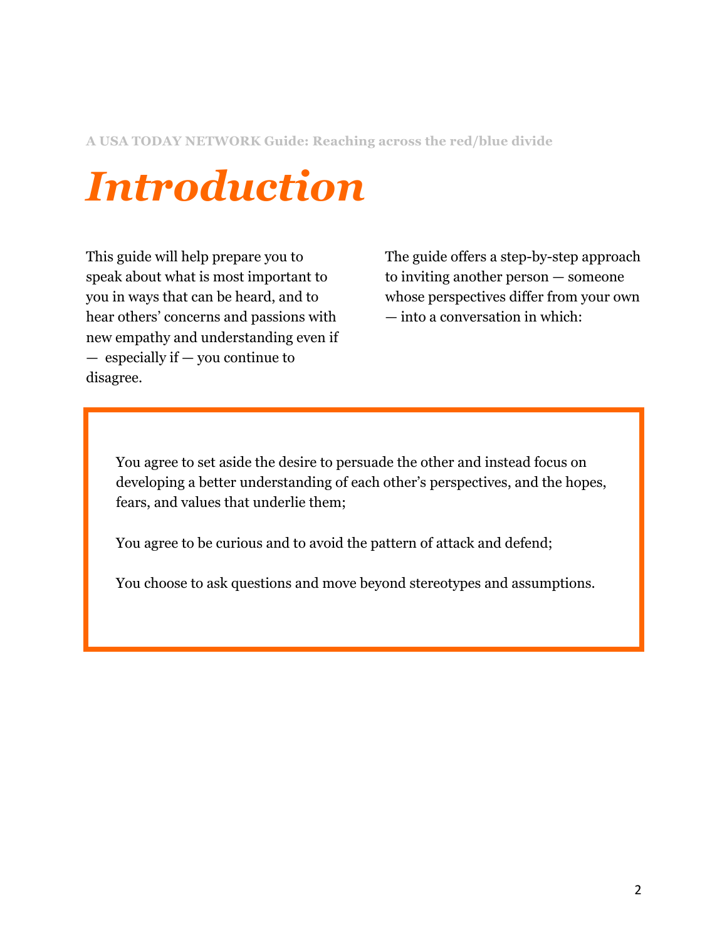**A USA TODAY NETWORK Guide: Reaching across the red/blue divide**

### *Introduction*

This guide will help prepare you to speak about what is most important to you in ways that can be heard, and to hear others' concerns and passions with new empathy and understanding even if — especially if — you continue to disagree.

The guide offers a step-by-step approach to inviting another person — someone whose perspectives differ from your own — into a conversation in which:

You agree to set aside the desire to persuade the other and instead focus on developing a better understanding of each other's perspectives, and the hopes, fears, and values that underlie them;

You agree to be curious and to avoid the pattern of attack and defend;

You choose to ask questions and move beyond stereotypes and assumptions.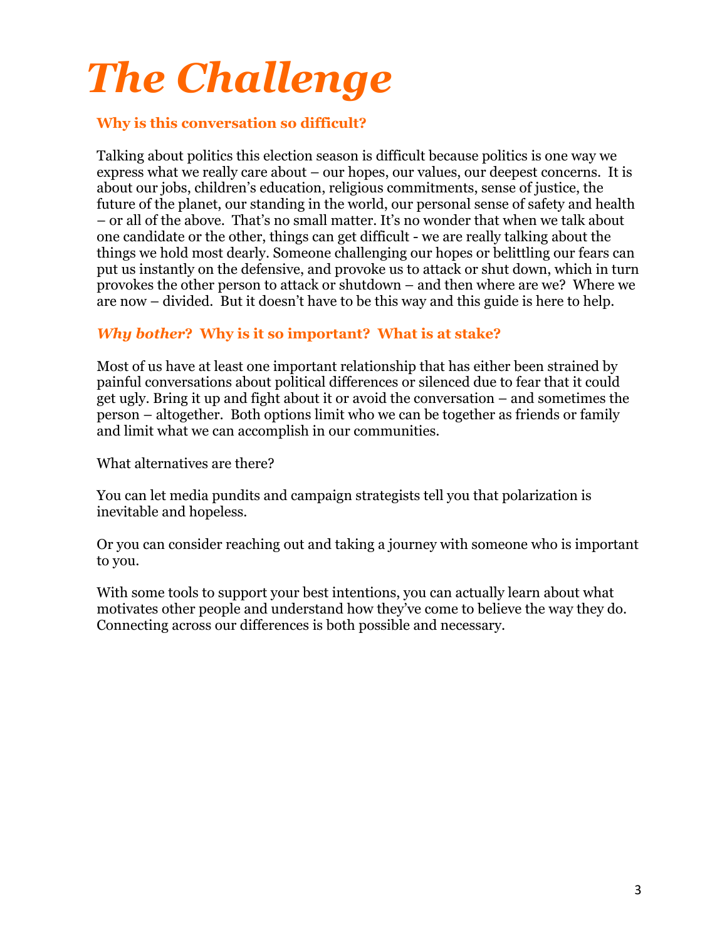# *The Challenge* **Why is this conversation so difficult?**

Talking about politics this election season is difficult because politics is one way we express what we really care about – our hopes, our values, our deepest concerns. It is about our jobs, children's education, religious commitments, sense of justice, the future of the planet, our standing in the world, our personal sense of safety and health – or all of the above. That's no small matter. It's no wonder that when we talk about one candidate or the other, things can get difficult - we are really talking about the things we hold most dearly. Someone challenging our hopes or belittling our fears can put us instantly on the defensive, and provoke us to attack or shut down, which in turn provokes the other person to attack or shutdown – and then where are we? Where we are now – divided. But it doesn't have to be this way and this guide is here to help.

#### *Why bother***? Why is it so important? What is at stake?**

Most of us have at least one important relationship that has either been strained by painful conversations about political differences or silenced due to fear that it could get ugly. Bring it up and fight about it or avoid the conversation – and sometimes the person – altogether. Both options limit who we can be together as friends or family and limit what we can accomplish in our communities.

What alternatives are there?

You can let media pundits and campaign strategists tell you that polarization is inevitable and hopeless.

Or you can consider reaching out and taking a journey with someone who is important to you.

With some tools to support your best intentions, you can actually learn about what motivates other people and understand how they've come to believe the way they do. Connecting across our differences is both possible and necessary.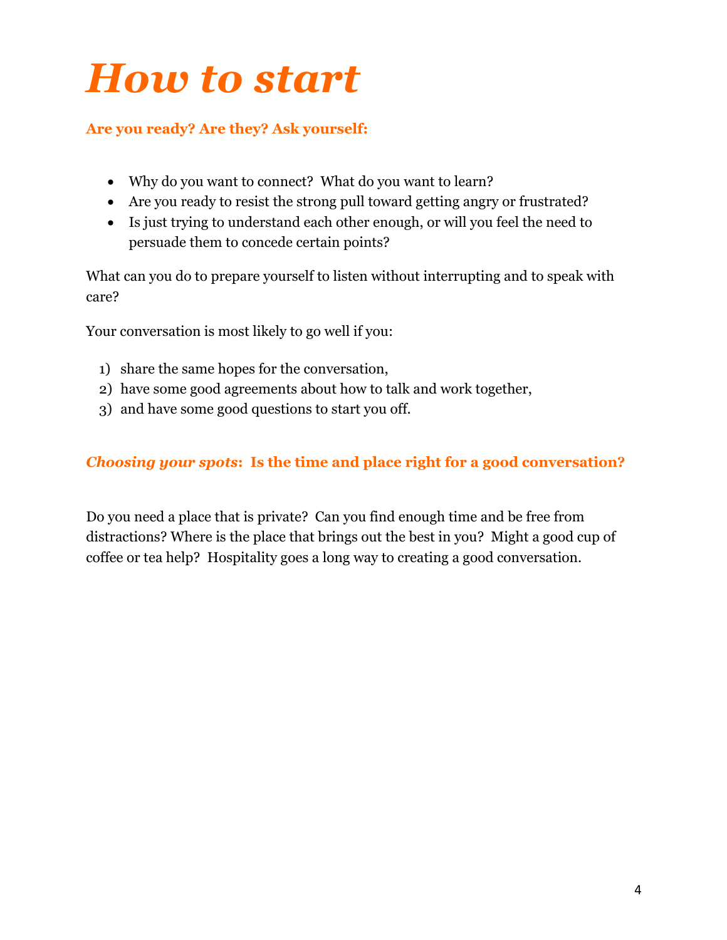### *How to start*

#### **Are you ready? Are they? Ask yourself:**

- Why do you want to connect? What do you want to learn?
- Are you ready to resist the strong pull toward getting angry or frustrated?
- Is just trying to understand each other enough, or will you feel the need to persuade them to concede certain points?

What can you do to prepare yourself to listen without interrupting and to speak with care?

Your conversation is most likely to go well if you:

- 1) share the same hopes for the conversation,
- 2) have some good agreements about how to talk and work together,
- 3) and have some good questions to start you off.

#### *Choosing your spots***: Is the time and place right for a good conversation?**

Do you need a place that is private? Can you find enough time and be free from distractions? Where is the place that brings out the best in you? Might a good cup of coffee or tea help? Hospitality goes a long way to creating a good conversation.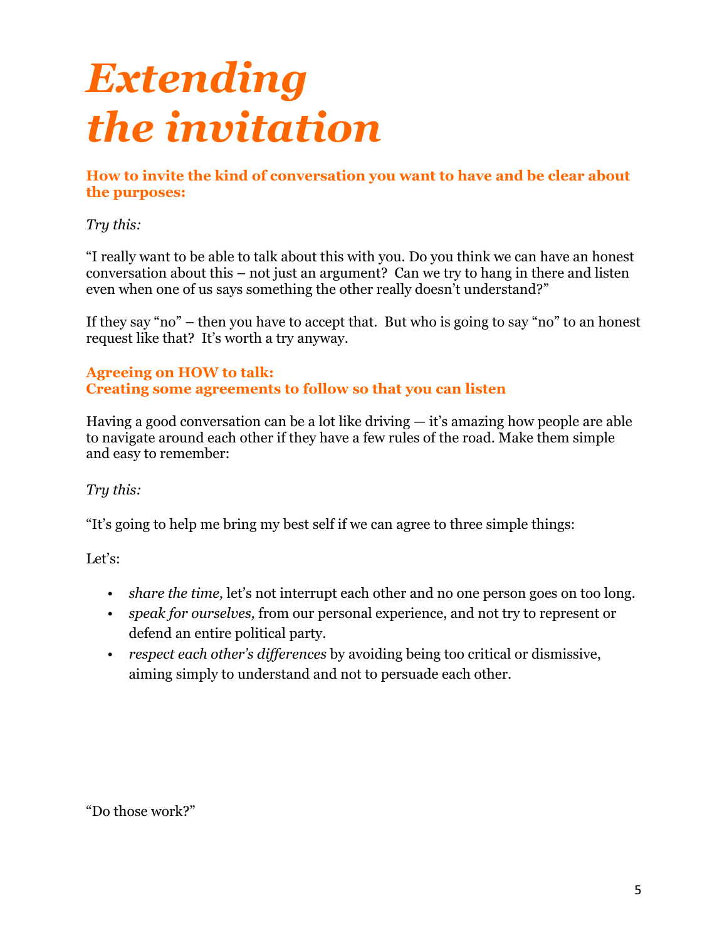## *Extending the invitation*

**How to invite the kind of conversation you want to have and be clear about the purposes:**

#### *Try this:*

"I really want to be able to talk about this with you. Do you think we can have an honest conversation about this – not just an argument? Can we try to hang in there and listen even when one of us says something the other really doesn't understand?"

If they say "no" – then you have to accept that. But who is going to say "no" to an honest request like that? It's worth a try anyway.

#### **Agreeing on HOW to talk: Creating some agreements to follow so that you can listen**

Having a good conversation can be a lot like driving — it's amazing how people are able to navigate around each other if they have a few rules of the road. Make them simple and easy to remember:

#### *Try this:*

"It's going to help me bring my best self if we can agree to three simple things:

Let's:

- *share the time,* let's not interrupt each other and no one person goes on too long.
- *speak for ourselves,* from our personal experience, and not try to represent or defend an entire political party.
- *respect each other's differences* by avoiding being too critical or dismissive, aiming simply to understand and not to persuade each other.

"Do those work?"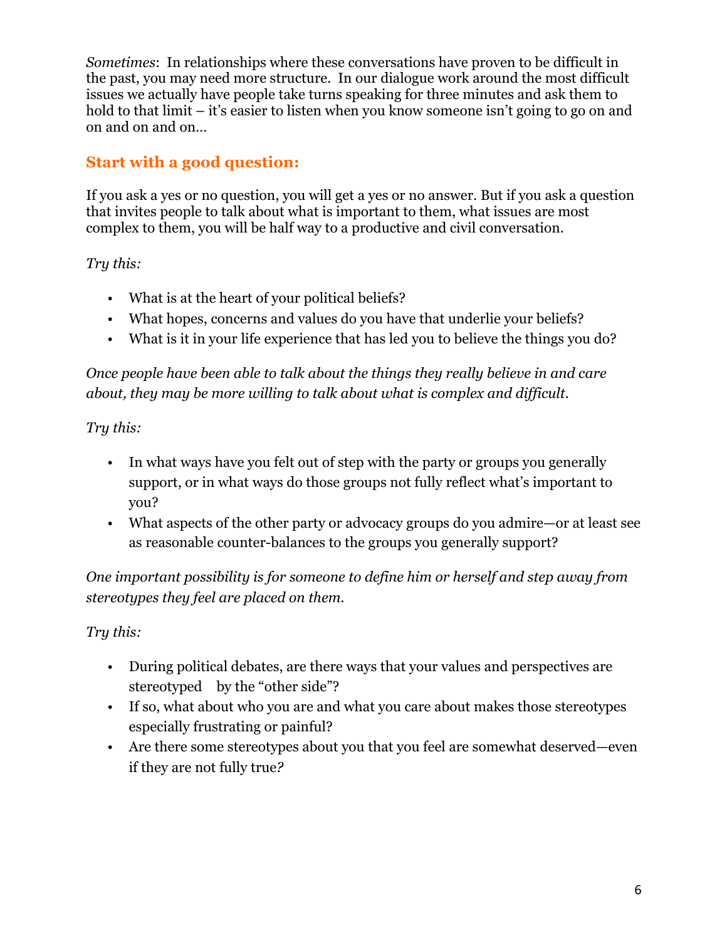*Sometimes*: In relationships where these conversations have proven to be difficult in the past, you may need more structure. In our dialogue work around the most difficult issues we actually have people take turns speaking for three minutes and ask them to hold to that limit – it's easier to listen when you know someone isn't going to go on and on and on and on…

#### **Start with a good question:**

If you ask a yes or no question, you will get a yes or no answer. But if you ask a question that invites people to talk about what is important to them, what issues are most complex to them, you will be half way to a productive and civil conversation.

*Try this:*

- What is at the heart of your political beliefs?
- What hopes, concerns and values do you have that underlie your beliefs?
- What is it in your life experience that has led you to believe the things you do?

*Once people have been able to talk about the things they really believe in and care about, they may be more willing to talk about what is complex and difficult.*

*Try this:* 

- In what ways have you felt out of step with the party or groups you generally support, or in what ways do those groups not fully reflect what's important to you?
- What aspects of the other party or advocacy groups do you admire—or at least see as reasonable counter-balances to the groups you generally support?

*One important possibility is for someone to define him or herself and step away from stereotypes they feel are placed on them.*

*Try this:*

- During political debates, are there ways that your values and perspectives are stereotyped by the "other side"?
- If so, what about who you are and what you care about makes those stereotypes especially frustrating or painful?
- Are there some stereotypes about you that you feel are somewhat deserved—even if they are not fully true*?*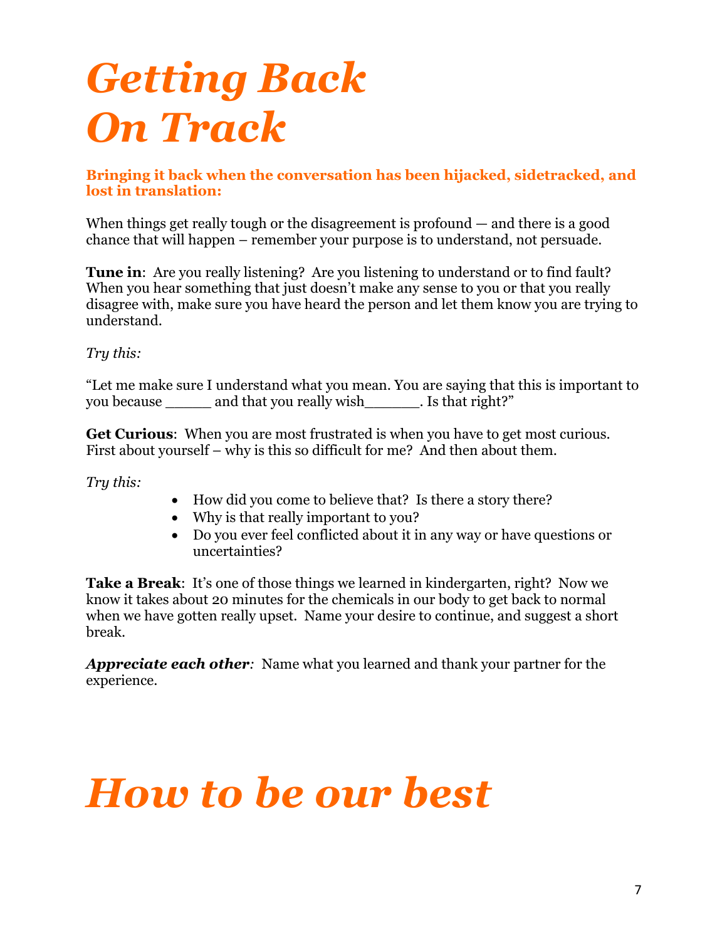### *Getting Back On Track*

**Bringing it back when the conversation has been hijacked, sidetracked, and lost in translation:**

When things get really tough or the disagreement is profound — and there is a good chance that will happen – remember your purpose is to understand, not persuade.

**Tune in:** Are you really listening? Are you listening to understand or to find fault? When you hear something that just doesn't make any sense to you or that you really disagree with, make sure you have heard the person and let them know you are trying to understand.

*Try this:* 

"Let me make sure I understand what you mean. You are saying that this is important to you because and that you really wish\_\_\_\_\_\_\_. Is that right?"

**Get Curious**: When you are most frustrated is when you have to get most curious. First about yourself – why is this so difficult for me? And then about them.

*Try this:*

- How did you come to believe that? Is there a story there?
- Why is that really important to you?
- Do you ever feel conflicted about it in any way or have questions or uncertainties?

**Take a Break:** It's one of those things we learned in kindergarten, right? Now we know it takes about 20 minutes for the chemicals in our body to get back to normal when we have gotten really upset. Name your desire to continue, and suggest a short break.

*Appreciate each other:* Name what you learned and thank your partner for the experience.

### *How to be our best*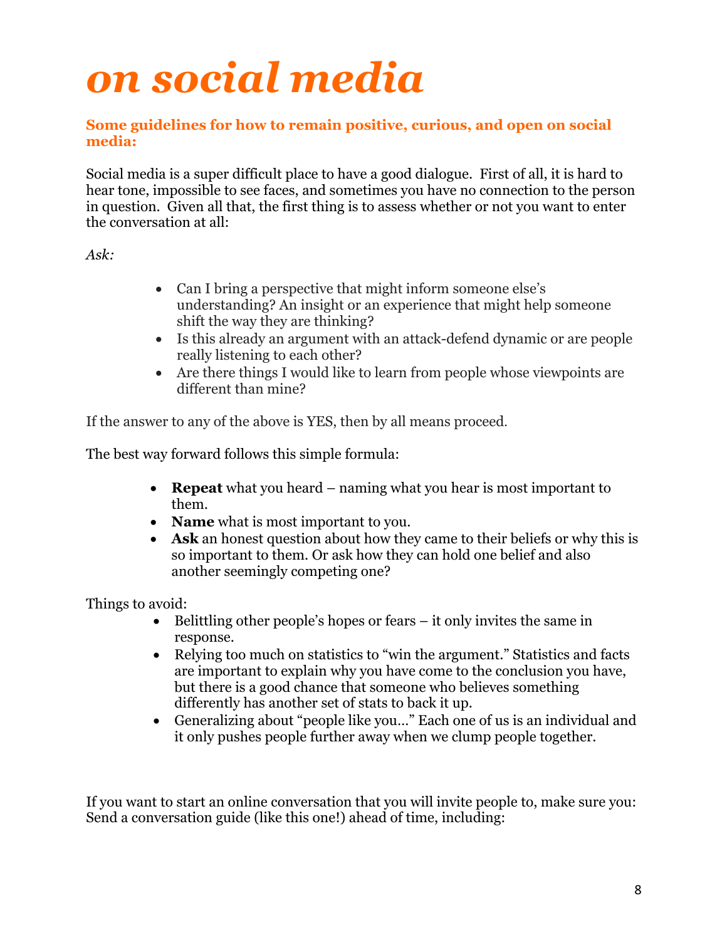### *on social media*

#### **Some guidelines for how to remain positive, curious, and open on social media:**

Social media is a super difficult place to have a good dialogue. First of all, it is hard to hear tone, impossible to see faces, and sometimes you have no connection to the person in question. Given all that, the first thing is to assess whether or not you want to enter the conversation at all:

*Ask:*

- Can I bring a perspective that might inform someone else's understanding? An insight or an experience that might help someone shift the way they are thinking?
- Is this already an argument with an attack-defend dynamic or are people really listening to each other?
- Are there things I would like to learn from people whose viewpoints are different than mine?

If the answer to any of the above is YES, then by all means proceed.

The best way forward follows this simple formula:

- **Repeat** what you heard naming what you hear is most important to them.
- **Name** what is most important to you.
- **Ask** an honest question about how they came to their beliefs or why this is so important to them. Or ask how they can hold one belief and also another seemingly competing one?

Things to avoid:

- Belittling other people's hopes or fears it only invites the same in response.
- Relying too much on statistics to "win the argument." Statistics and facts are important to explain why you have come to the conclusion you have, but there is a good chance that someone who believes something differently has another set of stats to back it up.
- Generalizing about "people like you…" Each one of us is an individual and it only pushes people further away when we clump people together.

If you want to start an online conversation that you will invite people to, make sure you: Send a conversation guide (like this one!) ahead of time, including: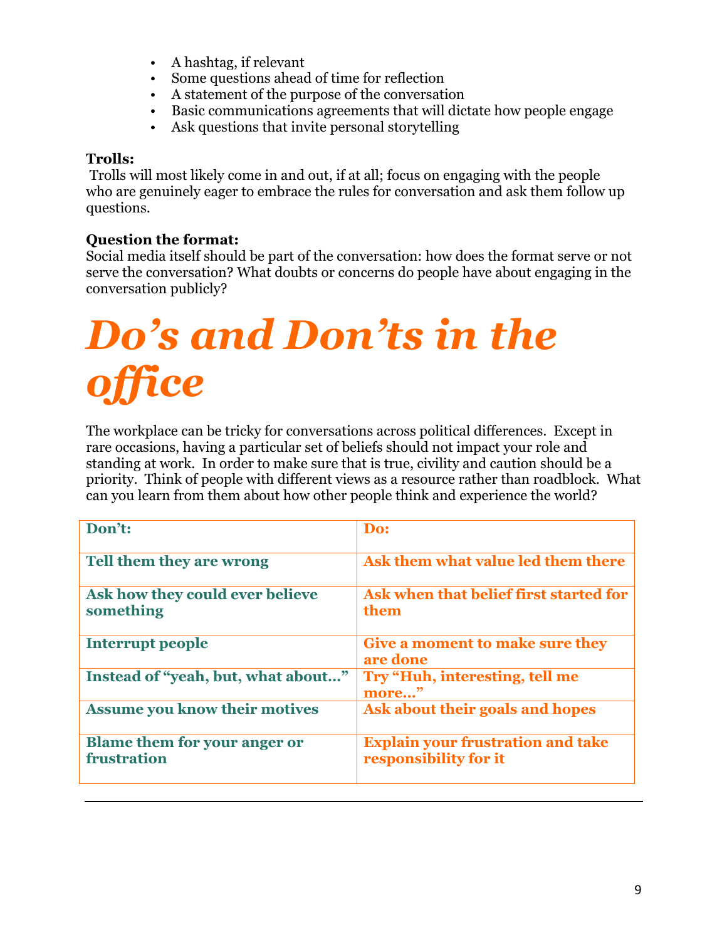- A hashtag, if relevant
- Some questions ahead of time for reflection
- A statement of the purpose of the conversation
- Basic communications agreements that will dictate how people engage
- Ask questions that invite personal storytelling

#### **Trolls:**

Trolls will most likely come in and out, if at all; focus on engaging with the people who are genuinely eager to embrace the rules for conversation and ask them follow up questions.

#### **Question the format:**

Social media itself should be part of the conversation: how does the format serve or not serve the conversation? What doubts or concerns do people have about engaging in the conversation publicly?

## *Do's and Don'ts in the*  fice

The workplace can be tricky for conversations across political differences. Except in rare occasions, having a particular set of beliefs should not impact your role and standing at work. In order to make sure that is true, civility and caution should be a priority. Think of people with different views as a resource rather than roadblock. What can you learn from them about how other people think and experience the world?

| Don't:                                             | Do:                                                               |
|----------------------------------------------------|-------------------------------------------------------------------|
| Tell them they are wrong                           | Ask them what value led them there                                |
| Ask how they could ever believe<br>something       | Ask when that belief first started for<br>them                    |
| Interrupt people                                   | <b>Give a moment to make sure they</b><br>are done                |
| Instead of "yeah, but, what about"                 | Try "Huh, interesting, tell me<br>more"                           |
| <b>Assume you know their motives</b>               | Ask about their goals and hopes                                   |
| <b>Blame them for your anger or</b><br>frustration | <b>Explain your frustration and take</b><br>responsibility for it |